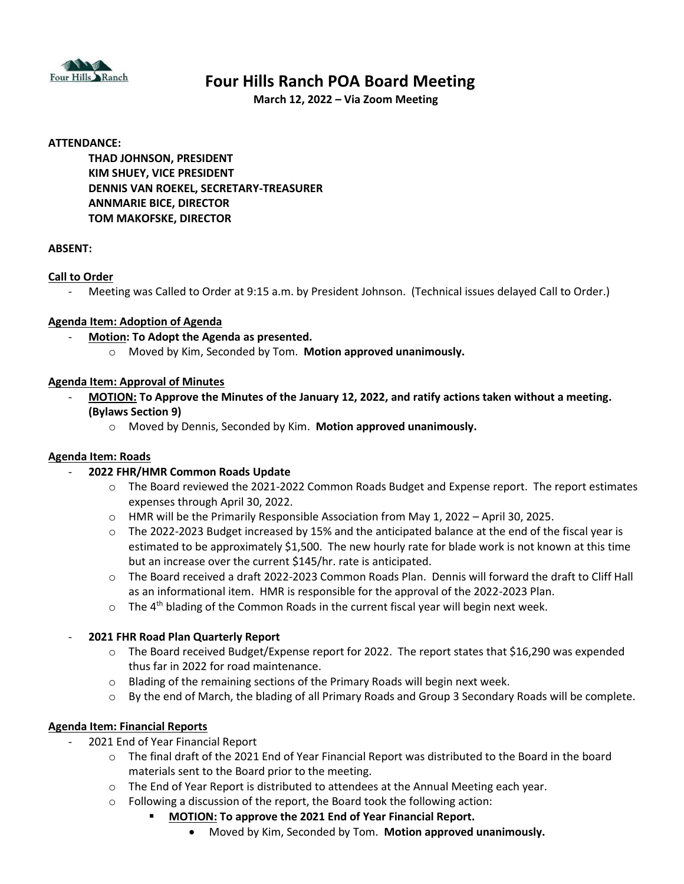

# **Four Hills Ranch POA Board Meeting**

**March 12, 2022 – Via Zoom Meeting**

#### **ATTENDANCE:**

**THAD JOHNSON, PRESIDENT KIM SHUEY, VICE PRESIDENT DENNIS VAN ROEKEL, SECRETARY-TREASURER ANNMARIE BICE, DIRECTOR TOM MAKOFSKE, DIRECTOR**

#### **ABSENT:**

#### **Call to Order**

- Meeting was Called to Order at 9:15 a.m. by President Johnson. (Technical issues delayed Call to Order.)

#### **Agenda Item: Adoption of Agenda**

- **Motion: To Adopt the Agenda as presented.**
	- o Moved by Kim, Seconded by Tom. **Motion approved unanimously.**

#### **Agenda Item: Approval of Minutes**

- **MOTION: To Approve the Minutes of the January 12, 2022, and ratify actions taken without a meeting. (Bylaws Section 9)**
	- o Moved by Dennis, Seconded by Kim. **Motion approved unanimously.**

#### **Agenda Item: Roads**

#### - **2022 FHR/HMR Common Roads Update**

- o The Board reviewed the 2021-2022 Common Roads Budget and Expense report. The report estimates expenses through April 30, 2022.
- o HMR will be the Primarily Responsible Association from May 1, 2022 April 30, 2025.
- $\circ$  The 2022-2023 Budget increased by 15% and the anticipated balance at the end of the fiscal year is estimated to be approximately \$1,500. The new hourly rate for blade work is not known at this time but an increase over the current \$145/hr. rate is anticipated.
- o The Board received a draft 2022-2023 Common Roads Plan. Dennis will forward the draft to Cliff Hall as an informational item. HMR is responsible for the approval of the 2022-2023 Plan.
- $\circ$  The 4<sup>th</sup> blading of the Common Roads in the current fiscal year will begin next week.

#### - **2021 FHR Road Plan Quarterly Report**

- o The Board received Budget/Expense report for 2022. The report states that \$16,290 was expended thus far in 2022 for road maintenance.
- o Blading of the remaining sections of the Primary Roads will begin next week.
- o By the end of March, the blading of all Primary Roads and Group 3 Secondary Roads will be complete.

#### **Agenda Item: Financial Reports**

- 2021 End of Year Financial Report
	- o The final draft of the 2021 End of Year Financial Report was distributed to the Board in the board materials sent to the Board prior to the meeting.
	- o The End of Year Report is distributed to attendees at the Annual Meeting each year.
	- o Following a discussion of the report, the Board took the following action:
		- **MOTION: To approve the 2021 End of Year Financial Report.** 
			- Moved by Kim, Seconded by Tom. **Motion approved unanimously.**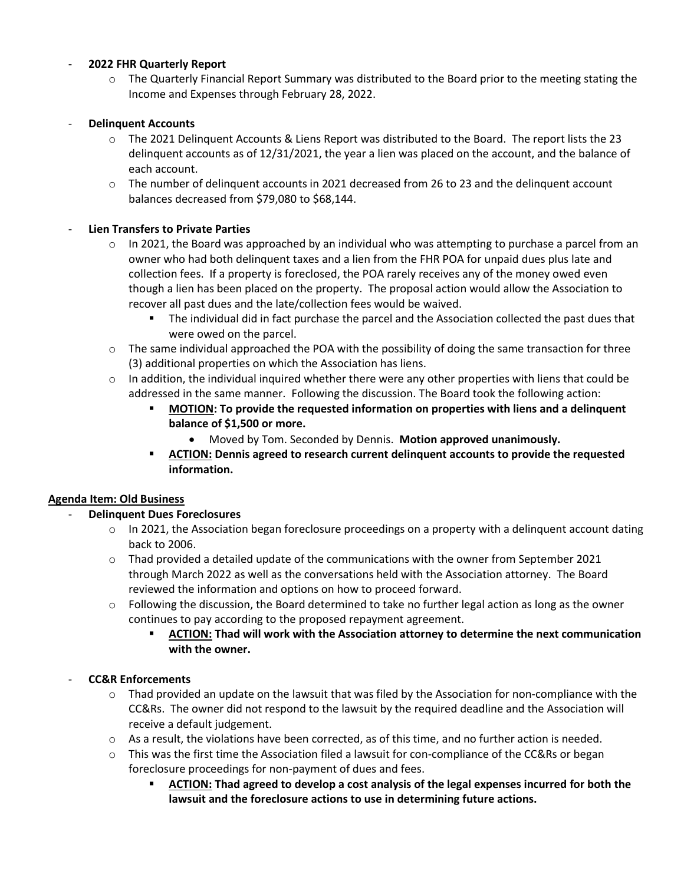# - **2022 FHR Quarterly Report**

o The Quarterly Financial Report Summary was distributed to the Board prior to the meeting stating the Income and Expenses through February 28, 2022.

## - **Delinquent Accounts**

- o The 2021 Delinquent Accounts & Liens Report was distributed to the Board. The report lists the 23 delinquent accounts as of 12/31/2021, the year a lien was placed on the account, and the balance of each account.
- o The number of delinquent accounts in 2021 decreased from 26 to 23 and the delinquent account balances decreased from \$79,080 to \$68,144.

# - **Lien Transfers to Private Parties**

- $\circ$  In 2021, the Board was approached by an individual who was attempting to purchase a parcel from an owner who had both delinquent taxes and a lien from the FHR POA for unpaid dues plus late and collection fees. If a property is foreclosed, the POA rarely receives any of the money owed even though a lien has been placed on the property. The proposal action would allow the Association to recover all past dues and the late/collection fees would be waived.
	- The individual did in fact purchase the parcel and the Association collected the past dues that were owed on the parcel.
- $\circ$  The same individual approached the POA with the possibility of doing the same transaction for three (3) additional properties on which the Association has liens.
- $\circ$  In addition, the individual inquired whether there were any other properties with liens that could be addressed in the same manner. Following the discussion. The Board took the following action:
	- **MOTION: To provide the requested information on properties with liens and a delinquent balance of \$1,500 or more.**
		- Moved by Tom. Seconded by Dennis. **Motion approved unanimously.**
	- **ACTION: Dennis agreed to research current delinquent accounts to provide the requested information.**

## **Agenda Item: Old Business**

# - **Delinquent Dues Foreclosures**

- $\circ$  In 2021, the Association began foreclosure proceedings on a property with a delinguent account dating back to 2006.
- $\circ$  Thad provided a detailed update of the communications with the owner from September 2021 through March 2022 as well as the conversations held with the Association attorney. The Board reviewed the information and options on how to proceed forward.
- $\circ$  Following the discussion, the Board determined to take no further legal action as long as the owner continues to pay according to the proposed repayment agreement.
	- **ACTION: Thad will work with the Association attorney to determine the next communication with the owner.**

#### - **CC&R Enforcements**

- $\circ$  Thad provided an update on the lawsuit that was filed by the Association for non-compliance with the CC&Rs. The owner did not respond to the lawsuit by the required deadline and the Association will receive a default judgement.
- o As a result, the violations have been corrected, as of this time, and no further action is needed.
- o This was the first time the Association filed a lawsuit for con-compliance of the CC&Rs or began foreclosure proceedings for non-payment of dues and fees.
	- **ACTION: Thad agreed to develop a cost analysis of the legal expenses incurred for both the lawsuit and the foreclosure actions to use in determining future actions.**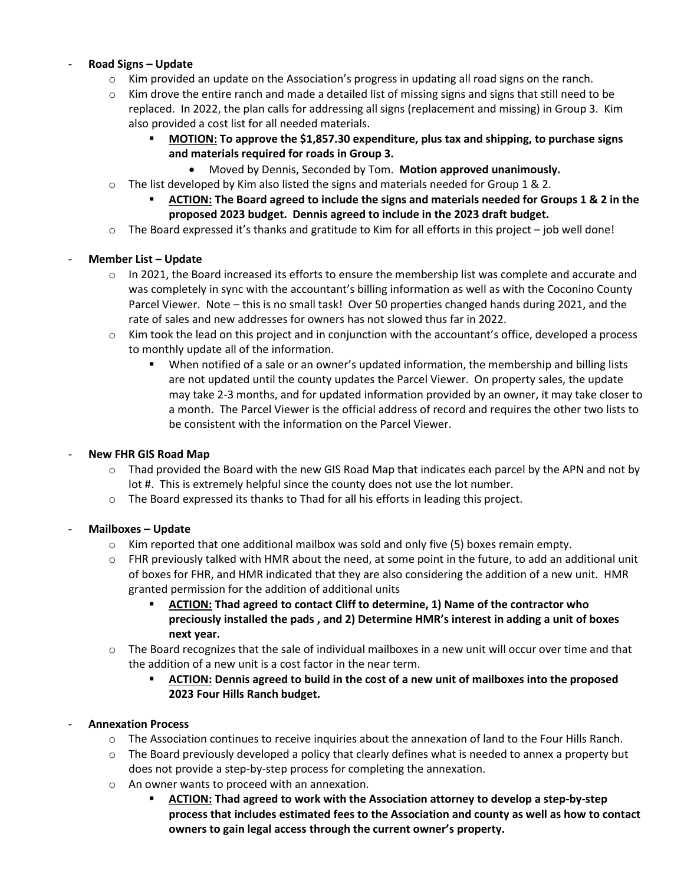# - **Road Signs – Update**

- $\circ$  Kim provided an update on the Association's progress in updating all road signs on the ranch.
- $\circ$  Kim drove the entire ranch and made a detailed list of missing signs and signs that still need to be replaced. In 2022, the plan calls for addressing all signs (replacement and missing) in Group 3. Kim also provided a cost list for all needed materials.
	- **MOTION:** To approve the \$1,857.30 expenditure, plus tax and shipping, to purchase signs **and materials required for roads in Group 3.**
		- Moved by Dennis, Seconded by Tom. **Motion approved unanimously.**
- $\circ$  The list developed by Kim also listed the signs and materials needed for Group 1 & 2.
	- **ACTION: The Board agreed to include the signs and materials needed for Groups 1 & 2 in the proposed 2023 budget. Dennis agreed to include in the 2023 draft budget.**
- $\circ$  The Board expressed it's thanks and gratitude to Kim for all efforts in this project job well done!

# - **Member List – Update**

- o In 2021, the Board increased its efforts to ensure the membership list was complete and accurate and was completely in sync with the accountant's billing information as well as with the Coconino County Parcel Viewer. Note – this is no small task! Over 50 properties changed hands during 2021, and the rate of sales and new addresses for owners has not slowed thus far in 2022.
- o Kim took the lead on this project and in conjunction with the accountant's office, developed a process to monthly update all of the information.
	- When notified of a sale or an owner's updated information, the membership and billing lists are not updated until the county updates the Parcel Viewer. On property sales, the update may take 2-3 months, and for updated information provided by an owner, it may take closer to a month. The Parcel Viewer is the official address of record and requires the other two lists to be consistent with the information on the Parcel Viewer.

#### - **New FHR GIS Road Map**

- o Thad provided the Board with the new GIS Road Map that indicates each parcel by the APN and not by lot #. This is extremely helpful since the county does not use the lot number.
- o The Board expressed its thanks to Thad for all his efforts in leading this project.

#### - **Mailboxes – Update**

- $\circ$  Kim reported that one additional mailbox was sold and only five (5) boxes remain empty.
- $\circ$  FHR previously talked with HMR about the need, at some point in the future, to add an additional unit of boxes for FHR, and HMR indicated that they are also considering the addition of a new unit. HMR granted permission for the addition of additional units
	- ACTION: Thad agreed to contact Cliff to determine, 1) Name of the contractor who **preciously installed the pads , and 2) Determine HMR's interest in adding a unit of boxes next year.**
- $\circ$  The Board recognizes that the sale of individual mailboxes in a new unit will occur over time and that the addition of a new unit is a cost factor in the near term.
	- **ACTION: Dennis agreed to build in the cost of a new unit of mailboxes into the proposed 2023 Four Hills Ranch budget.**

# - **Annexation Process**

- o The Association continues to receive inquiries about the annexation of land to the Four Hills Ranch.
- $\circ$  The Board previously developed a policy that clearly defines what is needed to annex a property but does not provide a step-by-step process for completing the annexation.
- o An owner wants to proceed with an annexation.
	- **ACTION: Thad agreed to work with the Association attorney to develop a step-by-step process that includes estimated fees to the Association and county as well as how to contact owners to gain legal access through the current owner's property.**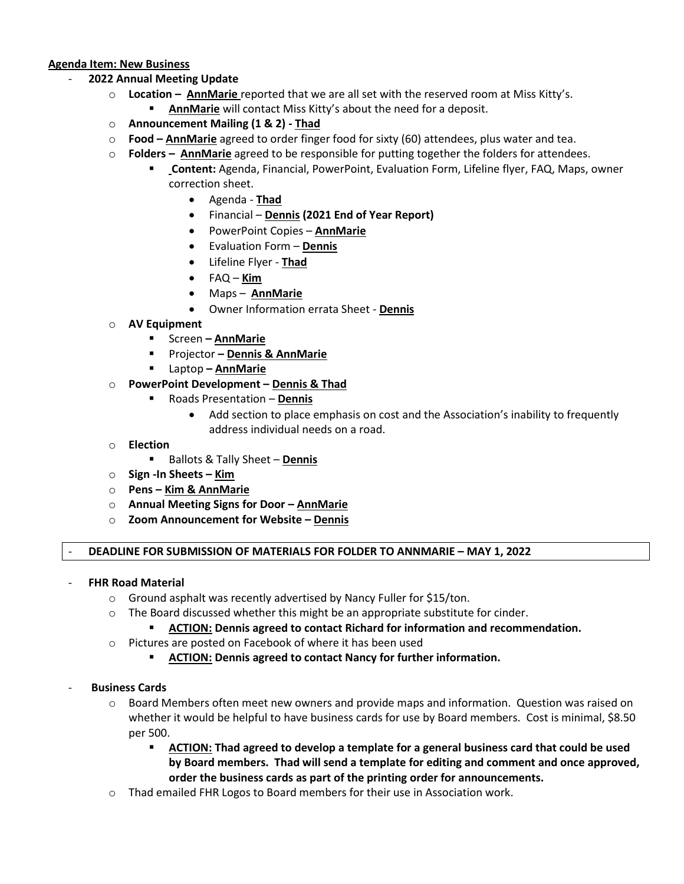#### **Agenda Item: New Business**

- **2022 Annual Meeting Update**
	- o **Location – AnnMarie** reported that we are all set with the reserved room at Miss Kitty's. AnnMarie will contact Miss Kitty's about the need for a deposit.
	- o **Announcement Mailing (1 & 2) - Thad**
	- o **Food – AnnMarie** agreed to order finger food for sixty (60) attendees, plus water and tea.
	- o **Folders – AnnMarie** agreed to be responsible for putting together the folders for attendees.
		- **Content:** Agenda, Financial, PowerPoint, Evaluation Form, Lifeline flyer, FAQ, Maps, owner correction sheet.
			- Agenda **Thad**
			- Financial **Dennis (2021 End of Year Report)**
			- PowerPoint Copies **AnnMarie**
			- Evaluation Form **Dennis**
			- Lifeline Flyer **Thad**
			- FAQ **Kim**
			- Maps **AnnMarie**
			- Owner Information errata Sheet **Dennis**
	- o **AV Equipment**
		- Screen **– AnnMarie**
		- Projector **– Dennis & AnnMarie**
		- Laptop **– AnnMarie**
	- o **PowerPoint Development – Dennis & Thad**
		- Roads Presentation **Dennis**
			- Add section to place emphasis on cost and the Association's inability to frequently address individual needs on a road.
	- o **Election**
		- Ballots & Tally Sheet **Dennis**
	- o **Sign -In Sheets – Kim**
	- o **Pens – Kim & AnnMarie**
	- o **Annual Meeting Signs for Door – AnnMarie**
	- o **Zoom Announcement for Website – Dennis**

#### - **DEADLINE FOR SUBMISSION OF MATERIALS FOR FOLDER TO ANNMARIE – MAY 1, 2022**

- **FHR Road Material**
	- $\circ$  Ground asphalt was recently advertised by Nancy Fuller for \$15/ton.
	- o The Board discussed whether this might be an appropriate substitute for cinder.
		- **ACTION: Dennis agreed to contact Richard for information and recommendation.**
	- o Pictures are posted on Facebook of where it has been used
		- **ACTION: Dennis agreed to contact Nancy for further information.**

# - **Business Cards**

- $\circ$  Board Members often meet new owners and provide maps and information. Question was raised on whether it would be helpful to have business cards for use by Board members. Cost is minimal, \$8.50 per 500.
	- **ACTION: Thad agreed to develop a template for a general business card that could be used by Board members. Thad will send a template for editing and comment and once approved, order the business cards as part of the printing order for announcements.**
- o Thad emailed FHR Logos to Board members for their use in Association work.